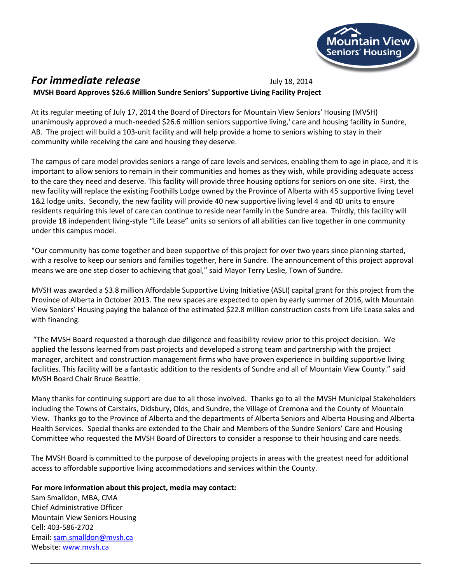

## **For immediate release** July 18, 2014 **MVSH Board Approves \$26.6 Million Sundre Seniors' Supportive Living Facility Project**

At its regular meeting of July 17, 2014 the Board of Directors for Mountain View Seniors' Housing (MVSH) unanimously approved a much-needed \$26.6 million seniors supportive living,' care and housing facility in Sundre, AB. The project will build a 103-unit facility and will help provide a home to seniors wishing to stay in their community while receiving the care and housing they deserve.

The campus of care model provides seniors a range of care levels and services, enabling them to age in place, and it is important to allow seniors to remain in their communities and homes as they wish, while providing adequate access to the care they need and deserve. This facility will provide three housing options for seniors on one site. First, the new facility will replace the existing Foothills Lodge owned by the Province of Alberta with 45 supportive living Level 1&2 lodge units. Secondly, the new facility will provide 40 new supportive living level 4 and 4D units to ensure residents requiring this level of care can continue to reside near family in the Sundre area. Thirdly, this facility will provide 18 independent living-style "Life Lease" units so seniors of all abilities can live together in one community under this campus model.

"Our community has come together and been supportive of this project for over two years since planning started, with a resolve to keep our seniors and families together, here in Sundre. The announcement of this project approval means we are one step closer to achieving that goal," said Mayor Terry Leslie, Town of Sundre.

MVSH was awarded a \$3.8 million Affordable Supportive Living Initiative (ASLI) capital grant for this project from the Province of Alberta in October 2013. The new spaces are expected to open by early summer of 2016, with Mountain View Seniors' Housing paying the balance of the estimated \$22.8 million construction costs from Life Lease sales and with financing.

"The MVSH Board requested a thorough due diligence and feasibility review prior to this project decision. We applied the lessons learned from past projects and developed a strong team and partnership with the project manager, architect and construction management firms who have proven experience in building supportive living facilities. This facility will be a fantastic addition to the residents of Sundre and all of Mountain View County." said MVSH Board Chair Bruce Beattie.

Many thanks for continuing support are due to all those involved. Thanks go to all the MVSH Municipal Stakeholders including the Towns of Carstairs, Didsbury, Olds, and Sundre, the Village of Cremona and the County of Mountain View. Thanks go to the Province of Alberta and the departments of Alberta Seniors and Alberta Housing and Alberta Health Services. Special thanks are extended to the Chair and Members of the Sundre Seniors' Care and Housing Committee who requested the MVSH Board of Directors to consider a response to their housing and care needs.

The MVSH Board is committed to the purpose of developing projects in areas with the greatest need for additional access to affordable supportive living accommodations and services within the County.

## **For more information about this project, media may contact:**

Sam Smalldon, MBA, CMA Chief Administrative Officer Mountain View Seniors Housing Cell: 403-586-2702 Email[: sam.smalldon@mvsh.ca](mailto:sam.smalldon@mvsh.ca) Website: [www.mvsh.ca](http://www.mvsh.ca/)